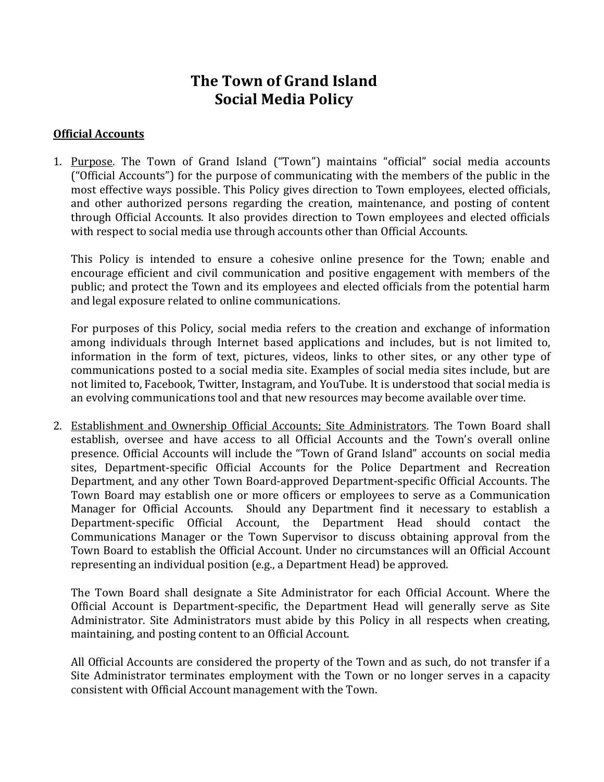# **The Town of Grand Island Social Media Policy**

#### **Official Accounts**

1. Purpose. The Town of Grand Island ("Town") maintains "official" social media accounts ("Official Accounts") for the purpose of communicating with the members of the public in the most effective ways possible. This Policy gives direction to Town employees, elected officials, and other authorized persons regarding the creation, maintenance, and posting of content through Official Accounts. It also provides direction to Town employees and elected officials with respect to social media use through accounts other than Official Accounts.

This Policy is intended to ensure a cohesive online presence for the Town; enable and encourage efficient and civil communication and positive engagement with members of the public; and protect the Town and its employees and elected officials from the potential harm and legal exposure related to online communications.

For purposes of this Policy, social media refers to the creation and exchange of information among individuals through Internet based applications and includes, but is not limited to, information in the form of text, pictures, videos, links to other sites, or any other type of communications posted to a social media site. Examples of social media sites include, but are not limited to, Facebook, Twitter, Instagram, and YouTube. It is understood that social media is an evolving communications tool and that new resources may become available over time.

2. Establishment and Ownership Official Accounts; Site Administrators. The Town Board shall establish, oversee and have access to all Official Accounts and the Town's overall online presence. Official Accounts will include the "Town of Grand Island" accounts on social media sites, Department-specific Official Accounts for the Police Department and Recreation Department, and any other Town Board-approved Department-specific Official Accounts. The Town Board may establish one or more officers or employees to serve as a Communication Manager for Official Accounts. Should any Department find it necessary to establish a Department-specific Official Account, the Department Head should contact the Communications Manager or the Town Supervisor to discuss obtaining approval from the Town Board to establish the Official Account. Under no circumstances will an Official Account representing an individual position (e.g., a Department Head) be approved.

The Town Board shall designate a Site Administrator for each Official Account. Where the Official Account is Department-specific, the Department Head will generally serve as Site Administrator. Site Administrators must abide by this Policy in all respects when creating, maintaining, and posting content to an Official Account.

All Official Accounts are considered the property of the Town and as such, do not transfer if a Site Administrator terminates employment with the Town or no longer serves in a capacity consistent with Official Account management with the Town.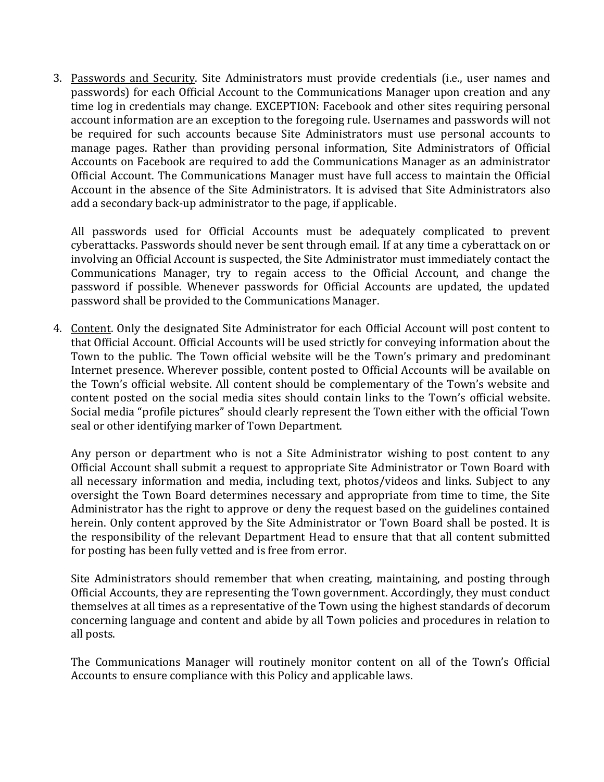3. Passwords and Security. Site Administrators must provide credentials (i.e., user names and passwords) for each Official Account to the Communications Manager upon creation and any time log in credentials may change. EXCEPTION: Facebook and other sites requiring personal account information are an exception to the foregoing rule. Usernames and passwords will not be required for such accounts because Site Administrators must use personal accounts to manage pages. Rather than providing personal information, Site Administrators of Official Accounts on Facebook are required to add the Communications Manager as an administrator Official Account. The Communications Manager must have full access to maintain the Official Account in the absence of the Site Administrators. It is advised that Site Administrators also add a secondary back-up administrator to the page, if applicable.

All passwords used for Official Accounts must be adequately complicated to prevent cyberattacks. Passwords should never be sent through email. If at any time a cyberattack on or involving an Official Account is suspected, the Site Administrator must immediately contact the Communications Manager, try to regain access to the Official Account, and change the password if possible. Whenever passwords for Official Accounts are updated, the updated password shall be provided to the Communications Manager.

4. Content. Only the designated Site Administrator for each Official Account will post content to that Official Account. Official Accounts will be used strictly for conveying information about the Town to the public. The Town official website will be the Town's primary and predominant Internet presence. Wherever possible, content posted to Official Accounts will be available on the Town's official website. All content should be complementary of the Town's website and content posted on the social media sites should contain links to the Town's official website. Social media "profile pictures" should clearly represent the Town either with the official Town seal or other identifying marker of Town Department.

Any person or department who is not a Site Administrator wishing to post content to any Official Account shall submit a request to appropriate Site Administrator or Town Board with all necessary information and media, including text, photos/videos and links. Subject to any oversight the Town Board determines necessary and appropriate from time to time, the Site Administrator has the right to approve or deny the request based on the guidelines contained herein. Only content approved by the Site Administrator or Town Board shall be posted. It is the responsibility of the relevant Department Head to ensure that that all content submitted for posting has been fully vetted and is free from error.

Site Administrators should remember that when creating, maintaining, and posting through Official Accounts, they are representing the Town government. Accordingly, they must conduct themselves at all times as a representative of the Town using the highest standards of decorum concerning language and content and abide by all Town policies and procedures in relation to all posts.

The Communications Manager will routinely monitor content on all of the Town's Official Accounts to ensure compliance with this Policy and applicable laws.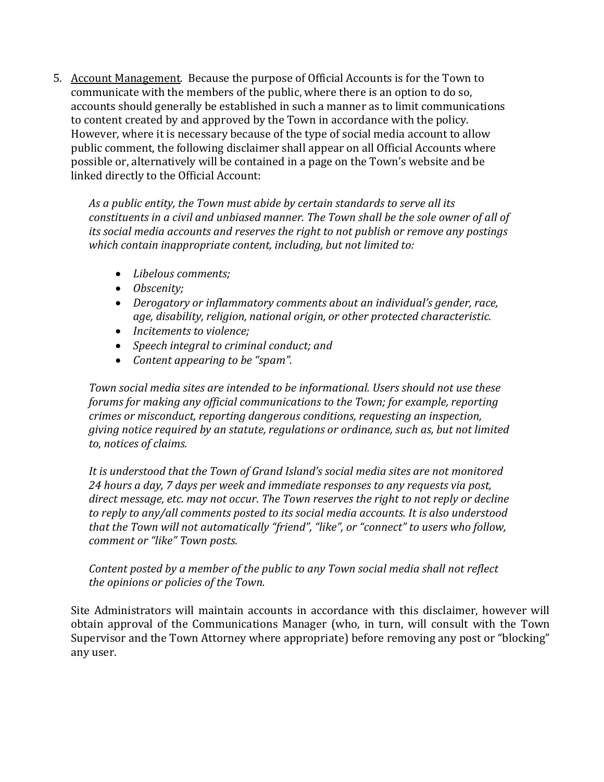5. Account Management. Because the purpose of Official Accounts is for the Town to communicate with the members of the public, where there is an option to do so, accounts should generally be established in such a manner as to limit communications to content created by and approved by the Town in accordance with the policy. However, where it is necessary because of the type of social media account to allow public comment, the following disclaimer shall appear on all Official Accounts where possible or, alternatively will be contained in a page on the Town's website and be linked directly to the Official Account:

*As a public entity, the Town must abide by certain standards to serve all its constituents in a civil and unbiased manner. The Town shall be the sole owner of all of its social media accounts and reserves the right to not publish or remove any postings which contain inappropriate content, including, but not limited to:*

- *Libelous comments;*
- *Obscenity;*
- *Derogatory or inflammatory comments about an individual's gender, race, age, disability, religion, national origin, or other protected characteristic.*
- *Incitements to violence;*
- *Speech integral to criminal conduct; and*
- *Content appearing to be "spam".*

*Town social media sites are intended to be informational. Users should not use these forums for making any official communications to the Town; for example, reporting crimes or misconduct, reporting dangerous conditions, requesting an inspection, giving notice required by an statute, regulations or ordinance, such as, but not limited to, notices of claims.*

*It is understood that the Town of Grand Island's social media sites are not monitored 24 hours a day, 7 days per week and immediate responses to any requests via post, direct message, etc. may not occur. The Town reserves the right to not reply or decline to reply to any/all comments posted to its social media accounts. It is also understood that the Town will not automatically "friend", "like", or "connect" to users who follow, comment or "like" Town posts.*

## *Content posted by a member of the public to any Town social media shall not reflect the opinions or policies of the Town.*

Site Administrators will maintain accounts in accordance with this disclaimer, however will obtain approval of the Communications Manager (who, in turn, will consult with the Town Supervisor and the Town Attorney where appropriate) before removing any post or "blocking" any user.